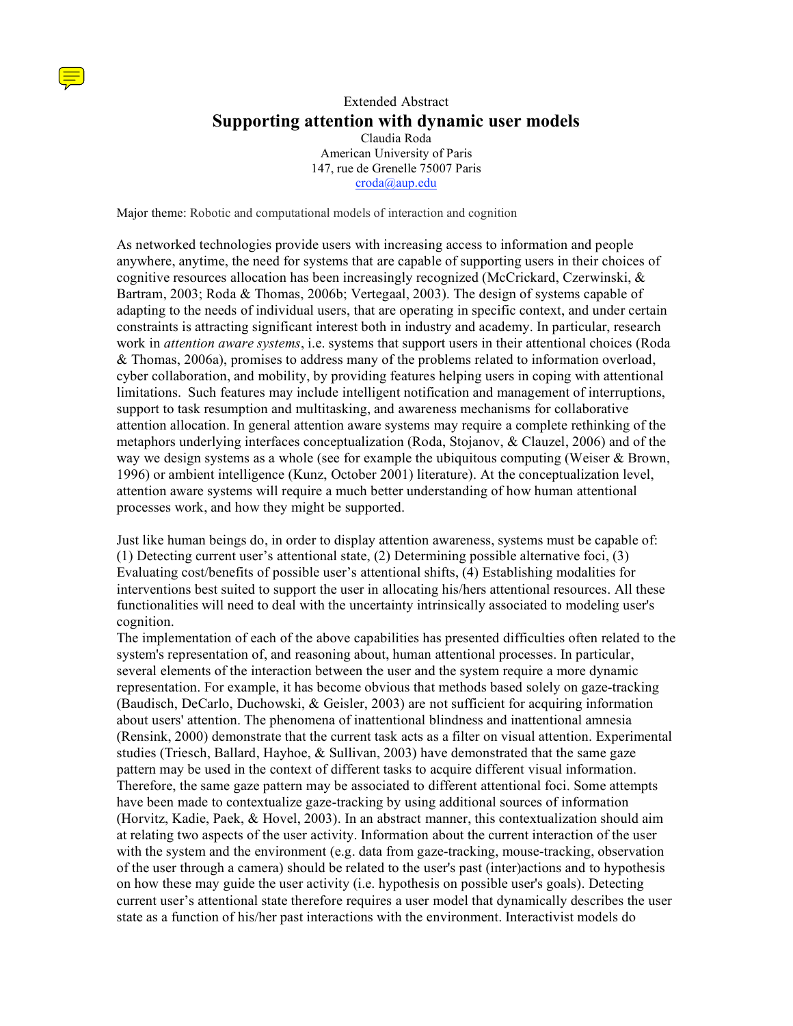

## Extended Abstract **Supporting attention with dynamic user models**

Claudia Roda American University of Paris 147, rue de Grenelle 75007 Paris croda@aup.edu

Major theme: Robotic and computational models of interaction and cognition

As networked technologies provide users with increasing access to information and people anywhere, anytime, the need for systems that are capable of supporting users in their choices of cognitive resources allocation has been increasingly recognized (McCrickard, Czerwinski, & Bartram, 2003; Roda & Thomas, 2006b; Vertegaal, 2003). The design of systems capable of adapting to the needs of individual users, that are operating in specific context, and under certain constraints is attracting significant interest both in industry and academy. In particular, research work in *attention aware systems*, i.e. systems that support users in their attentional choices (Roda & Thomas, 2006a), promises to address many of the problems related to information overload, cyber collaboration, and mobility, by providing features helping users in coping with attentional limitations. Such features may include intelligent notification and management of interruptions, support to task resumption and multitasking, and awareness mechanisms for collaborative attention allocation. In general attention aware systems may require a complete rethinking of the metaphors underlying interfaces conceptualization (Roda, Stojanov, & Clauzel, 2006) and of the way we design systems as a whole (see for example the ubiquitous computing (Weiser & Brown, 1996) or ambient intelligence (Kunz, October 2001) literature). At the conceptualization level, attention aware systems will require a much better understanding of how human attentional processes work, and how they might be supported.

Just like human beings do, in order to display attention awareness, systems must be capable of: (1) Detecting current user's attentional state, (2) Determining possible alternative foci, (3) Evaluating cost/benefits of possible user's attentional shifts, (4) Establishing modalities for interventions best suited to support the user in allocating his/hers attentional resources. All these functionalities will need to deal with the uncertainty intrinsically associated to modeling user's cognition.

The implementation of each of the above capabilities has presented difficulties often related to the system's representation of, and reasoning about, human attentional processes. In particular, several elements of the interaction between the user and the system require a more dynamic representation. For example, it has become obvious that methods based solely on gaze-tracking (Baudisch, DeCarlo, Duchowski, & Geisler, 2003) are not sufficient for acquiring information about users' attention. The phenomena of inattentional blindness and inattentional amnesia (Rensink, 2000) demonstrate that the current task acts as a filter on visual attention. Experimental studies (Triesch, Ballard, Hayhoe,  $&$  Sullivan, 2003) have demonstrated that the same gaze pattern may be used in the context of different tasks to acquire different visual information. Therefore, the same gaze pattern may be associated to different attentional foci. Some attempts have been made to contextualize gaze-tracking by using additional sources of information (Horvitz, Kadie, Paek, & Hovel, 2003). In an abstract manner, this contextualization should aim at relating two aspects of the user activity. Information about the current interaction of the user with the system and the environment (e.g. data from gaze-tracking, mouse-tracking, observation of the user through a camera) should be related to the user's past (inter)actions and to hypothesis on how these may guide the user activity (i.e. hypothesis on possible user's goals). Detecting current user's attentional state therefore requires a user model that dynamically describes the user state as a function of his/her past interactions with the environment. Interactivist models do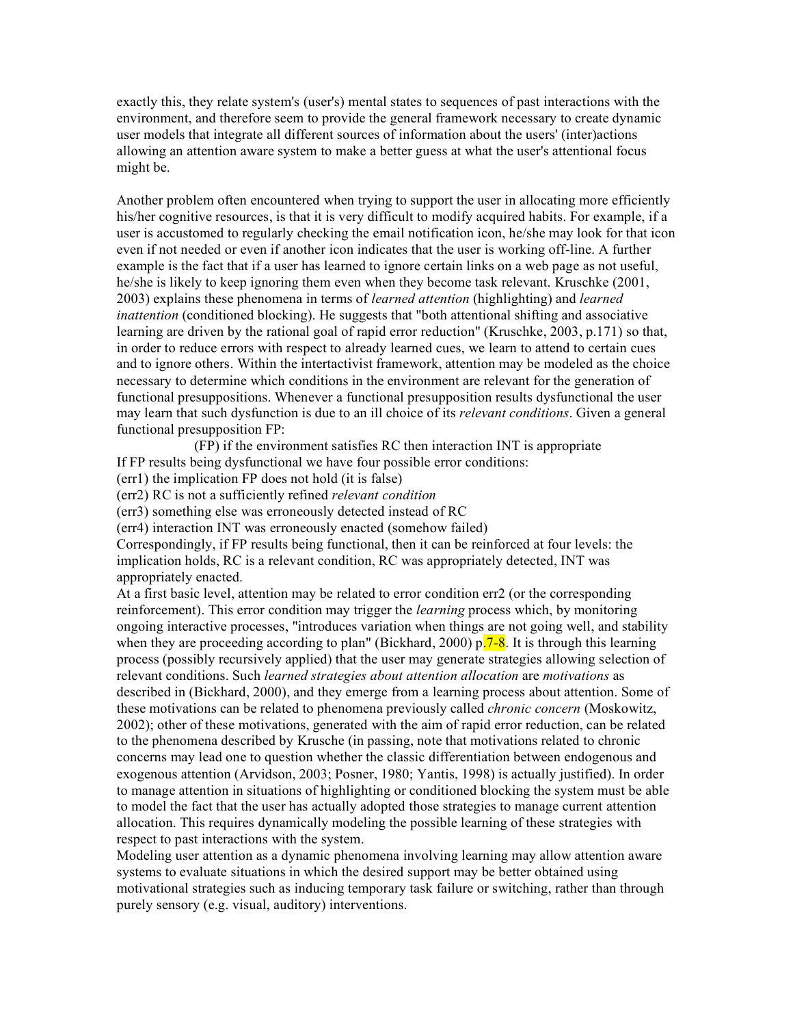exactly this, they relate system's (user's) mental states to sequences of past interactions with the environment, and therefore seem to provide the general framework necessary to create dynamic user models that integrate all different sources of information about the users' (inter)actions allowing an attention aware system to make a better guess at what the user's attentional focus might be.

Another problem often encountered when trying to support the user in allocating more efficiently his/her cognitive resources, is that it is very difficult to modify acquired habits. For example, if a user is accustomed to regularly checking the email notification icon, he/she may look for that icon even if not needed or even if another icon indicates that the user is working off-line. A further example is the fact that if a user has learned to ignore certain links on a web page as not useful, he/she is likely to keep ignoring them even when they become task relevant. Kruschke (2001, 2003) explains these phenomena in terms of *learned attention* (highlighting) and *learned inattention* (conditioned blocking). He suggests that "both attentional shifting and associative learning are driven by the rational goal of rapid error reduction" (Kruschke, 2003, p.171) so that, in order to reduce errors with respect to already learned cues, we learn to attend to certain cues and to ignore others. Within the intertactivist framework, attention may be modeled as the choice necessary to determine which conditions in the environment are relevant for the generation of functional presuppositions. Whenever a functional presupposition results dysfunctional the user may learn that such dysfunction is due to an ill choice of its *relevant conditions*. Given a general functional presupposition FP:

(FP) if the environment satisfies RC then interaction INT is appropriate If FP results being dysfunctional we have four possible error conditions:

(err1) the implication FP does not hold (it is false)

(err2) RC is not a sufficiently refined *relevant condition*

(err3) something else was erroneously detected instead of RC

(err4) interaction INT was erroneously enacted (somehow failed)

Correspondingly, if FP results being functional, then it can be reinforced at four levels: the implication holds, RC is a relevant condition, RC was appropriately detected, INT was appropriately enacted.

At a first basic level, attention may be related to error condition err2 (or the corresponding reinforcement). This error condition may trigger the *learning* process which, by monitoring ongoing interactive processes, "introduces variation when things are not going well, and stability when they are proceeding according to plan" (Bickhard, 2000)  $p$ <sup>7-8</sup>. It is through this learning process (possibly recursively applied) that the user may generate strategies allowing selection of relevant conditions. Such *learned strategies about attention allocation* are *motivations* as described in (Bickhard, 2000), and they emerge from a learning process about attention. Some of these motivations can be related to phenomena previously called *chronic concern* (Moskowitz, 2002); other of these motivations, generated with the aim of rapid error reduction, can be related to the phenomena described by Krusche (in passing, note that motivations related to chronic concerns may lead one to question whether the classic differentiation between endogenous and exogenous attention (Arvidson, 2003; Posner, 1980; Yantis, 1998) is actually justified). In order to manage attention in situations of highlighting or conditioned blocking the system must be able to model the fact that the user has actually adopted those strategies to manage current attention allocation. This requires dynamically modeling the possible learning of these strategies with respect to past interactions with the system.

Modeling user attention as a dynamic phenomena involving learning may allow attention aware systems to evaluate situations in which the desired support may be better obtained using motivational strategies such as inducing temporary task failure or switching, rather than through purely sensory (e.g. visual, auditory) interventions.